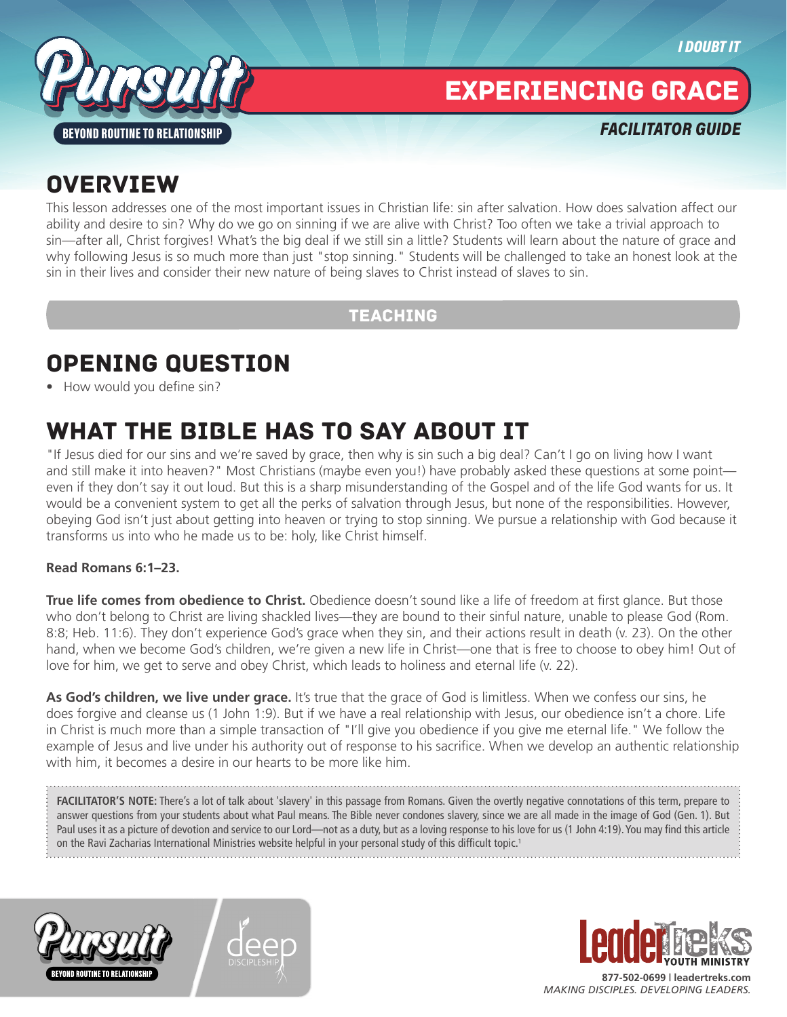

# EXPERIENCING GRACE

*FACILITATOR GUIDE*

# **OVERVIEW**

This lesson addresses one of the most important issues in Christian life: sin after salvation. How does salvation affect our ability and desire to sin? Why do we go on sinning if we are alive with Christ? Too often we take a trivial approach to sin—after all, Christ forgives! What's the big deal if we still sin a little? Students will learn about the nature of grace and why following Jesus is so much more than just "stop sinning." Students will be challenged to take an honest look at the sin in their lives and consider their new nature of being slaves to Christ instead of slaves to sin.

### TEACHING

# OPENING QUESTION

• How would you define sin?

# WHAT THE BIBLE HAS TO SAY ABOUT IT

"If Jesus died for our sins and we're saved by grace, then why is sin such a big deal? Can't I go on living how I want and still make it into heaven?" Most Christians (maybe even you!) have probably asked these questions at some point even if they don't say it out loud. But this is a sharp misunderstanding of the Gospel and of the life God wants for us. It would be a convenient system to get all the perks of salvation through Jesus, but none of the responsibilities. However, obeying God isn't just about getting into heaven or trying to stop sinning. We pursue a relationship with God because it transforms us into who he made us to be: holy, like Christ himself.

#### **Read Romans 6:1–23.**

**True life comes from obedience to Christ.** Obedience doesn't sound like a life of freedom at first glance. But those who don't belong to Christ are living shackled lives—they are bound to their sinful nature, unable to please God (Rom. 8:8; Heb. 11:6). They don't experience God's grace when they sin, and their actions result in death (v. 23). On the other hand, when we become God's children, we're given a new life in Christ—one that is free to choose to obey him! Out of love for him, we get to serve and obey Christ, which leads to holiness and eternal life (v. 22).

**As God's children, we live under grace.** It's true that the grace of God is limitless. When we confess our sins, he does forgive and cleanse us (1 John 1:9). But if we have a real relationship with Jesus, our obedience isn't a chore. Life in Christ is much more than a simple transaction of "I'll give you obedience if you give me eternal life." We follow the example of Jesus and live under his authority out of response to his sacrifice. When we develop an authentic relationship with him, it becomes a desire in our hearts to be more like him.

FACILITATOR'S NOTE: There's a lot of talk about 'slavery' in this passage from Romans. Given the overtly negative connotations of this term, prepare to answer questions from your students about what Paul means. The Bible never condones slavery, since we are all made in the image of God (Gen. 1). But Paul uses it as a picture of devotion and service to our Lord—not as a duty, but as a loving response to his love for us (1 John 4:19). You may find this article on the Ravi Zacharias International Ministries website helpful in your personal study of this difficult topic.1







**877-502-0699 | leadertreks.com** *MAKING DISCIPLES. DEVELOPING LEADERS.*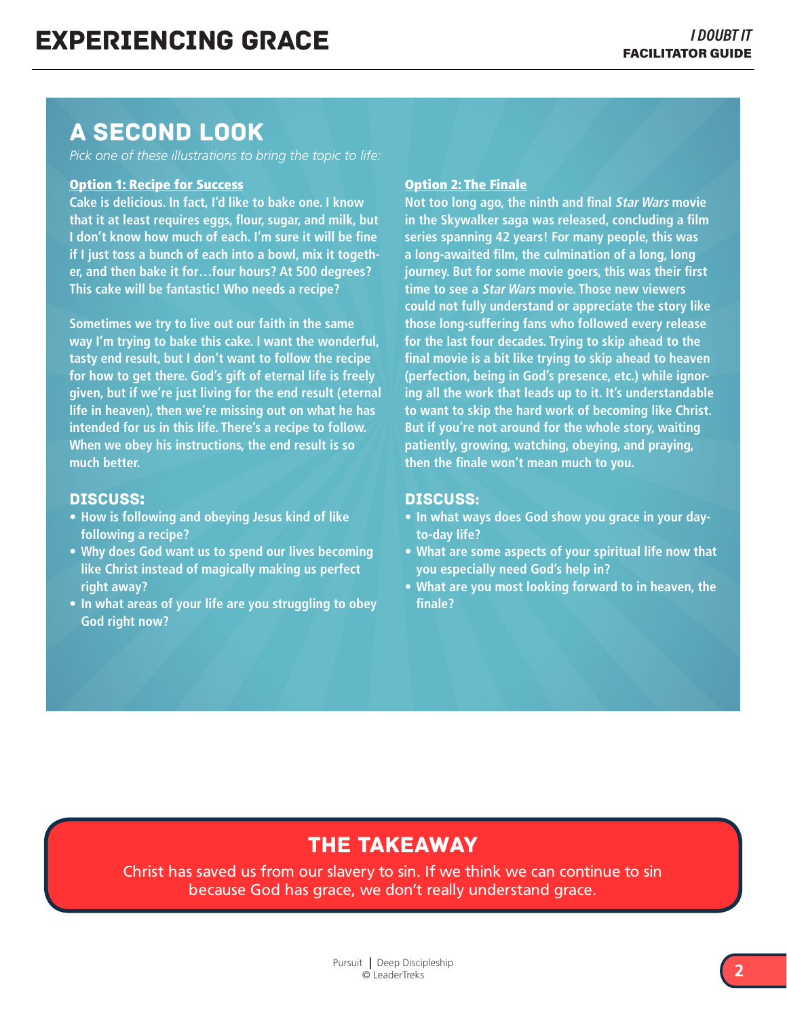### A SECOND LOOK

*Pick one of these illustrations to bring the topic to life:*

#### Option 1: Recipe for Success

**Cake is delicious. In fact, I'd like to bake one. I know that it at least requires eggs, flour, sugar, and milk, but I don't know how much of each. I'm sure it will be fine if I just toss a bunch of each into a bowl, mix it together, and then bake it for…four hours? At 500 degrees? This cake will be fantastic! Who needs a recipe?** 

**Sometimes we try to live out our faith in the same way I'm trying to bake this cake. I want the wonderful, tasty end result, but I don't want to follow the recipe for how to get there. God's gift of eternal life is freely given, but if we're just living for the end result (eternal life in heaven), then we're missing out on what he has intended for us in this life. There's a recipe to follow. When we obey his instructions, the end result is so much better.** 

#### Discuss:

- **• How is following and obeying Jesus kind of like following a recipe?**
- **• Why does God want us to spend our lives becoming like Christ instead of magically making us perfect right away?**
- **• In what areas of your life are you struggling to obey God right now?**

#### Option 2: The Finale

**Not too long ago, the ninth and final Star Wars movie in the Skywalker saga was released, concluding a film series spanning 42 years! For many people, this was a long-awaited film, the culmination of a long, long journey. But for some movie goers, this was their first time to see a Star Wars movie. Those new viewers could not fully understand or appreciate the story like those long-suffering fans who followed every release for the last four decades. Trying to skip ahead to the final movie is a bit like trying to skip ahead to heaven (perfection, being in God's presence, etc.) while ignoring all the work that leads up to it. It's understandable to want to skip the hard work of becoming like Christ. But if you're not around for the whole story, waiting patiently, growing, watching, obeying, and praying, then the finale won't mean much to you.** 

#### Discuss:

- **• In what ways does God show you grace in your dayto-day life?**
- **• What are some aspects of your spiritual life now that you especially need God's help in?**
- **• What are you most looking forward to in heaven, the finale?**

### THE TAKEAWAY

Christ has saved us from our slavery to sin. If we think we can continue to sin because God has grace, we don't really understand grace.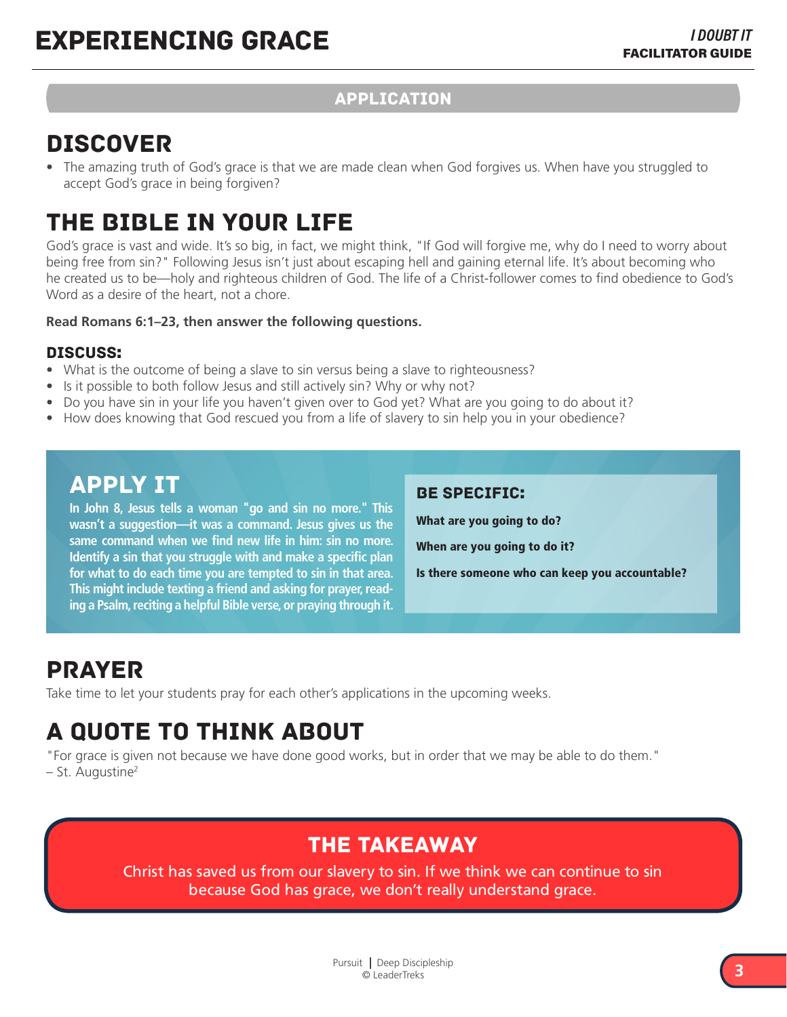### APPLICATION

### DISCOVER

• The amazing truth of God's grace is that we are made clean when God forgives us. When have you struggled to accept God's grace in being forgiven?

# THE BIBLE IN YOUR LIFE

God's grace is vast and wide. It's so big, in fact, we might think, "If God will forgive me, why do I need to worry about being free from sin?" Following Jesus isn't just about escaping hell and gaining eternal life. It's about becoming who he created us to be—holy and righteous children of God. The life of a Christ-follower comes to find obedience to God's Word as a desire of the heart, not a chore.

#### **Read Romans 6:1–23, then answer the following questions.**

#### Discuss:

- What is the outcome of being a slave to sin versus being a slave to righteousness?
- Is it possible to both follow Jesus and still actively sin? Why or why not?
- Do you have sin in your life you haven't given over to God yet? What are you going to do about it?
- How does knowing that God rescued you from a life of slavery to sin help you in your obedience?

### APPLY IT

**In John 8, Jesus tells a woman "go and sin no more." This wasn't a suggestion—it was a command. Jesus gives us the same command when we find new life in him: sin no more. Identify a sin that you struggle with and make a specific plan for what to do each time you are tempted to sin in that area. This might include texting a friend and asking for prayer, reading a Psalm, reciting a helpful Bible verse, or praying through it.** 

#### Be specific:

What are you going to do?

When are you going to do it?

Is there someone who can keep you accountable?

## PRAYER

Take time to let your students pray for each other's applications in the upcoming weeks.

# A QUOTE TO THINK ABOUT

"For grace is given not because we have done good works, but in order that we may be able to do them." – St. Augustine2

### THE TAKEAWAY

Christ has saved us from our slavery to sin. If we think we can continue to sin because God has grace, we don't really understand grace.